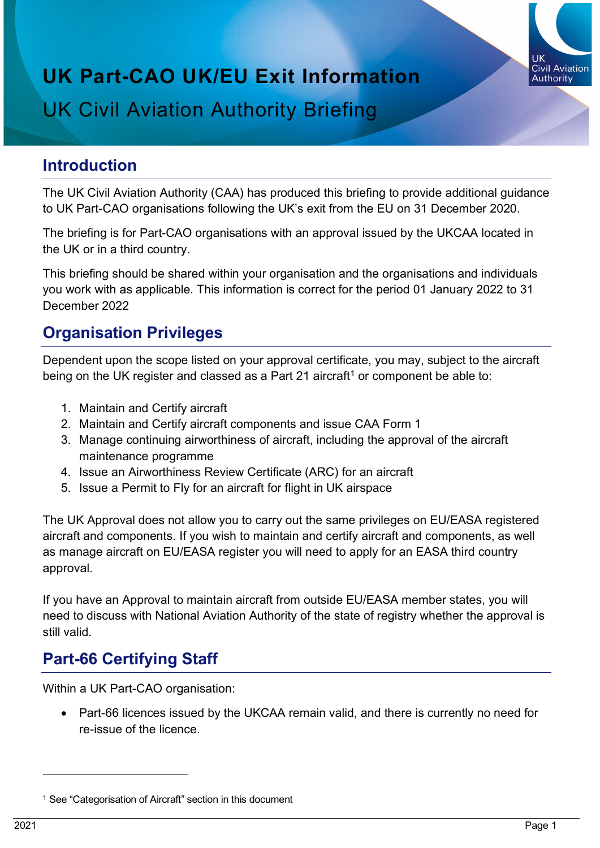

# **UK Part-CAO UK/EU Exit Information** UK Civil Aviation Authority Briefing

#### **Introduction**

The UK Civil Aviation Authority (CAA) has produced this briefing to provide additional guidance to UK Part-CAO organisations following the UK's exit from the EU on 31 December 2020.

The briefing is for Part-CAO organisations with an approval issued by the UKCAA located in the UK or in a third country.

This briefing should be shared within your organisation and the organisations and individuals you work with as applicable. This information is correct for the period 01 January 2022 to 31 December 2022

## **Organisation Privileges**

Dependent upon the scope listed on your approval certificate, you may, subject to the aircraft being on the UK register and classed as a Part 2[1](#page-0-0) aircraft<sup>1</sup> or component be able to:

- 1. Maintain and Certify aircraft
- 2. Maintain and Certify aircraft components and issue CAA Form 1
- 3. Manage continuing airworthiness of aircraft, including the approval of the aircraft maintenance programme
- 4. Issue an Airworthiness Review Certificate (ARC) for an aircraft
- 5. Issue a Permit to Fly for an aircraft for flight in UK airspace

The UK Approval does not allow you to carry out the same privileges on EU/EASA registered aircraft and components. If you wish to maintain and certify aircraft and components, as well as manage aircraft on EU/EASA register you will need to apply for an EASA third country approval.

If you have an Approval to maintain aircraft from outside EU/EASA member states, you will need to discuss with National Aviation Authority of the state of registry whether the approval is still valid.

# **Part-66 Certifying Staff**

Within a UK Part-CAO organisation:

• Part-66 licences issued by the UKCAA remain valid, and there is currently no need for re-issue of the licence.

<span id="page-0-0"></span><sup>&</sup>lt;sup>1</sup> See "Categorisation of Aircraft" section in this document